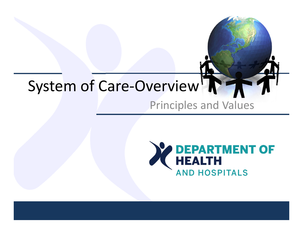# System of Care-Overview<sup>1</sup>

#### Principles and Values

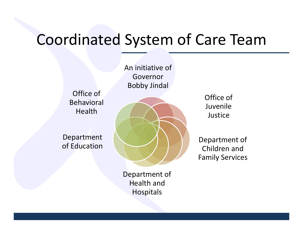### Coordinated System of Care Team

An initiative of GovernorBobby Jindal

Office of Behavioral Health

Department of Education



Department of Health and Hospitals

Office of Juvenile Justice

Department of Children and Family Services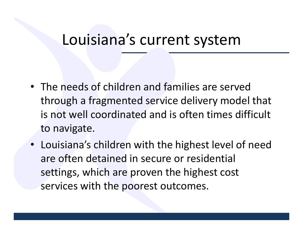### Louisiana's current system

- The needs of children and families are served through <sup>a</sup> fragmented service delivery model that is not well coordinated and is often times difficult to navigate.
- Louisiana's children with the highest level of need are often detained in secure or residential settings, which are proven the highest cost services with the poorest outcomes.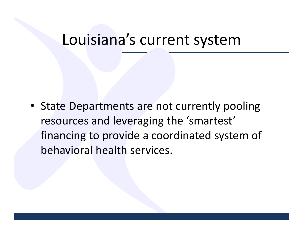### Louisiana's current system

• State Departments are not currently pooling resources and leveraging the 'smartest' financing to provide <sup>a</sup> coordinated system of behavioral health services.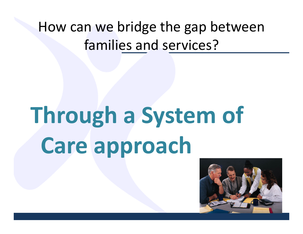### How can we bridge the gap between families and services?

# **Through <sup>a</sup> System of Care approach**

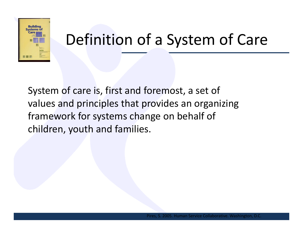

# Definition of <sup>a</sup> System of Care

System of care is, first and foremost, <sup>a</sup> set of values and principles that provides an organizing framework for systems change on behalf of children, youth and families.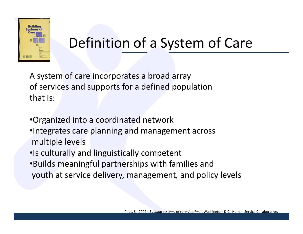

### Definition of <sup>a</sup> System of Care

A system of care incorporates <sup>a</sup> broad array of services and supports for <sup>a</sup> defined population that is:

•Organized into <sup>a</sup> coordinated network •Integrates care planning and management across multiple levels •Is culturally and linguistically competent

•Builds meaningful partnerships with families and youth at service delivery, management*,* and policy levels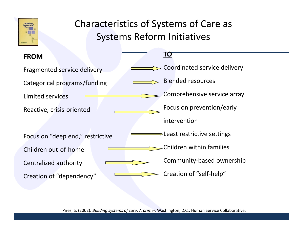

#### Characteristics of Systems of Care as Systems Reform Initiatives

| <b>FROM</b>                      | <u>TO</u>                                |
|----------------------------------|------------------------------------------|
| Fragmented service delivery      | Coordinated service delivery             |
| Categorical programs/funding     | <b>Blended resources</b>                 |
| <b>Limited services</b>          | Comprehensive service array              |
| Reactive, crisis-oriented        | Focus on prevention/early                |
|                                  | intervention                             |
| Focus on "deep end," restrictive | $\Rightarrow$ Least restrictive settings |
| Children out-of-home             | Children within families                 |
| Centralized authority            | Community-based ownership                |
| Creation of "dependency"         | Creation of "self-help"                  |

Pires, S. (2002). *Building systems of care: A primer.* Washington, D.C.: Human Service Collaborative.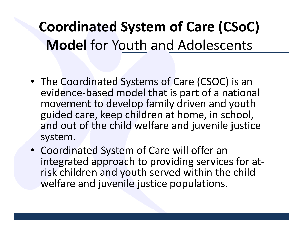## **Coordinated System of Care (CSoC) Model** for Youth and Adolescents

- The Coordinated Systems of Care (CSOC) is an evidence‐based model that is part of <sup>a</sup> national movement to develop family driven and youth guided care, keep children at home, in school, and out of the child welfare and juvenile justice system.
- Coordinated System of Care will offer an integrated approach to providing services for at‐ risk children and youth served within the child welfare and juvenile justice populations.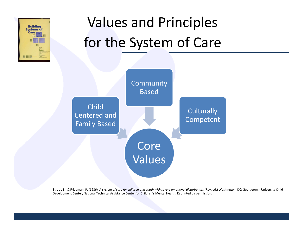

# Values and Principles for the System of Care



Stroul, B., & Friedman, R. (1986). A system of care for children and youth with severe emotional disturbances (Rev. ed.) Washington, DC: Georgetown University Child Development Center, National Technical Assistance Center for Children's Mental Health. Reprinted by permission.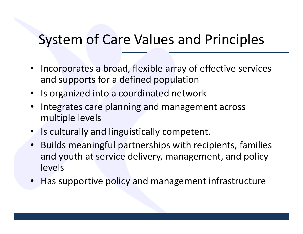### System of Care Values and Principles

- Incorporates <sup>a</sup> broad, flexible array of effective services and supports for <sup>a</sup> defined population
- •• Is organized into a coordinated network
- • Integrates care planning and management across multiple levels
- Is culturally and linguistically competent.
- • Builds meaningful partnerships with recipients, families and youth at service delivery, management, and policy levels
- Has supportive policy and management infrastructure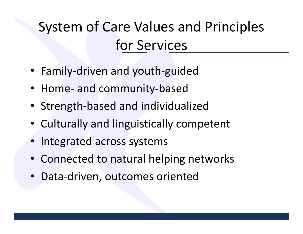# System of Care Values and Principles for Services

- Family‐driven and youth‐guided
- Home‐ and community‐based
- Strength‐based and individualized
- Culturally and linguistically competent
- Integrated across systems
- Connected to natural helping networks
- Data‐driven, outcomes oriented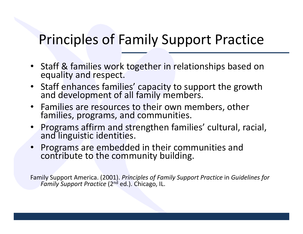### Principles of Family Support Practice

- Staff & families work together in relationships based on equality and respect.
- Staff enhances families' capacity to support the growth and development of all family members.
- Families are resources to their own members, other families, programs, and communities.
- •Programs affirm and strengthen families' cultural, racial, and linguistic identities.
- •Programs are embedded in their communities and e to the community building.

Family Support America. (2001). *Principles of Family Support Practice* in *Guidelines for Family Support Practice* (2nd ed.). Chicago, IL.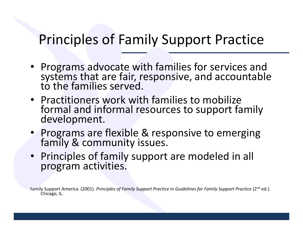### Principles of Family Support Practice

- Programs advocate with families for services and systems that are fair, responsive, and accountable to the families served.
- Practitioners work with families to mobilize formal and informal resources to support family development.
- Programs are flexible & responsive to emerging family & community issues.
- Principles of family support are modeled in all program activities.

Family Support America. (2001). *Principles of Family Support Practice* in *Guidelines for Family Support Practice* (2nd ed.). Chicago, IL.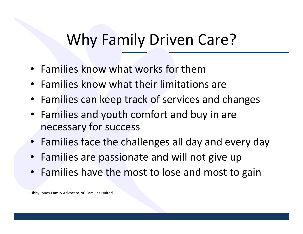### Why Family Driven Care?

- Families know what works for them
- Families know what their limitations are
- Families can keep track of services and changes
- Families and youth comfort and buy in are necessary for success
- Families face the challenges all day and every day
- Families are passionate and will not give up
- Families have the most to lose and most to gain

Libby Jones‐Family Advocate‐NC Families United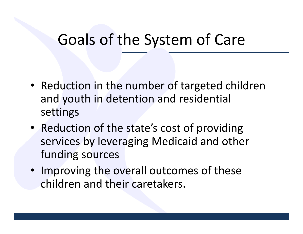### Goals of the System of Care

- Reduction in the number of targeted children and youth in detention and residential settings
- Reduction of the state's cost of providing services by leveraging Medicaid and other funding sources
- Improving the overall outcomes of these children and their caretakers.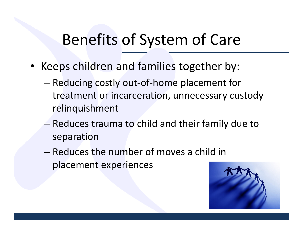## Benefits of System of Care

- Keeps children and families together by:
	- – Reducing costly out‐of‐home placement for treatment or incarceration, unnecessary custody relinquishment
	- – Reduces trauma to child and their family due to separation
	- Reduces the number of moves <sup>a</sup> child in placement experiences

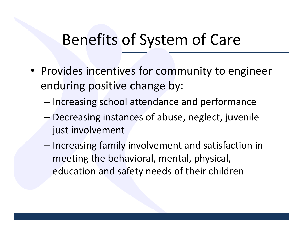### Benefits of System of Care

- Provides incentives for community to engineer enduring positive change by:
	- – $-$  Increasing school attendance and performance
	- – Decreasing instances of abuse, neglect, juvenile just involvement
	- – $-$  Increasing family involvement and satisfaction in meeting the behavioral, mental, physical, education and safety needs of their children